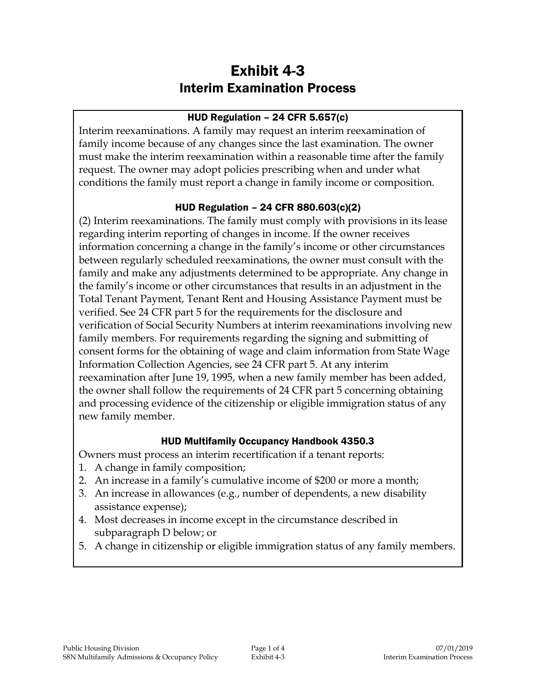# Exhibit 4-3 Interim Examination Process

#### HUD Regulation – 24 CFR 5.657(c)

Interim reexaminations. A family may request an interim reexamination of family income because of any changes since the last examination. The owner must make the interim reexamination within a reasonable time after the family request. The owner may adopt policies prescribing when and under what conditions the family must report a change in family income or composition.

### HUD Regulation – 24 CFR 880.603(c)(2)

(2) Interim reexaminations. The family must comply with provisions in its lease regarding interim reporting of changes in income. If the owner receives information concerning a change in the family's income or other circumstances between regularly scheduled reexaminations, the owner must consult with the family and make any adjustments determined to be appropriate. Any change in the family's income or other circumstances that results in an adjustment in the Total Tenant Payment, Tenant Rent and Housing Assistance Payment must be verified. See 24 CFR part 5 for the requirements for the disclosure and verification of Social Security Numbers at interim reexaminations involving new family members. For requirements regarding the signing and submitting of consent forms for the obtaining of wage and claim information from State Wage Information Collection Agencies, see 24 CFR part 5. At any interim reexamination after June 19, 1995, when a new family member has been added, the owner shall follow the requirements of 24 CFR part 5 concerning obtaining and processing evidence of the citizenship or eligible immigration status of any new family member.

#### HUD Multifamily Occupancy Handbook 4350.3

Owners must process an interim recertification if a tenant reports:

- 1. A change in family composition;
- 2. An increase in a family's cumulative income of \$200 or more a month;
- 3. An increase in allowances (e.g., number of dependents, a new disability assistance expense);
- 4. Most decreases in income except in the circumstance described in subparagraph D below; or
- 5. A change in citizenship or eligible immigration status of any family members.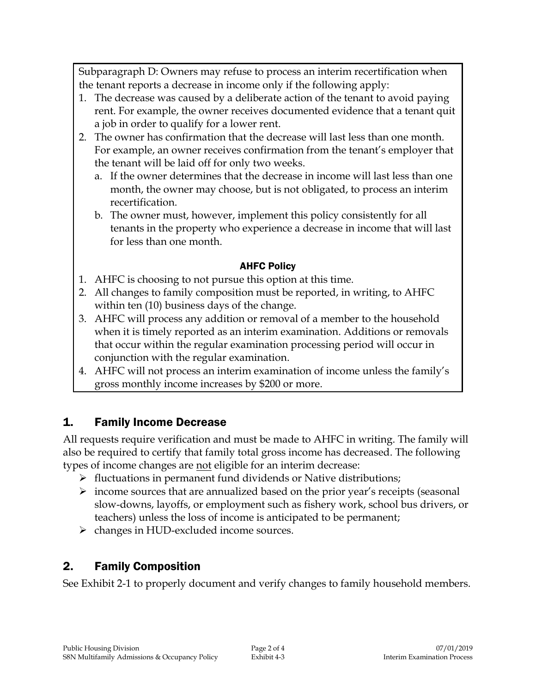Subparagraph D: Owners may refuse to process an interim recertification when the tenant reports a decrease in income only if the following apply:

- 1. The decrease was caused by a deliberate action of the tenant to avoid paying rent. For example, the owner receives documented evidence that a tenant quit a job in order to qualify for a lower rent.
- 2. The owner has confirmation that the decrease will last less than one month. For example, an owner receives confirmation from the tenant's employer that the tenant will be laid off for only two weeks.
	- a. If the owner determines that the decrease in income will last less than one month, the owner may choose, but is not obligated, to process an interim recertification.
	- b. The owner must, however, implement this policy consistently for all tenants in the property who experience a decrease in income that will last for less than one month.

### AHFC Policy

- 1. AHFC is choosing to not pursue this option at this time.
- 2. All changes to family composition must be reported, in writing, to AHFC within ten (10) business days of the change.
- 3. AHFC will process any addition or removal of a member to the household when it is timely reported as an interim examination. Additions or removals that occur within the regular examination processing period will occur in conjunction with the regular examination.
- 4. AHFC will not process an interim examination of income unless the family's gross monthly income increases by \$200 or more.

## 1. Family Income Decrease

All requests require verification and must be made to AHFC in writing. The family will also be required to certify that family total gross income has decreased. The following types of income changes are not eligible for an interim decrease:

- $\triangleright$  fluctuations in permanent fund dividends or Native distributions;
- $\triangleright$  income sources that are annualized based on the prior year's receipts (seasonal slow-downs, layoffs, or employment such as fishery work, school bus drivers, or teachers) unless the loss of income is anticipated to be permanent;
- changes in HUD-excluded income sources.

## 2. Family Composition

See Exhibit 2-1 to properly document and verify changes to family household members.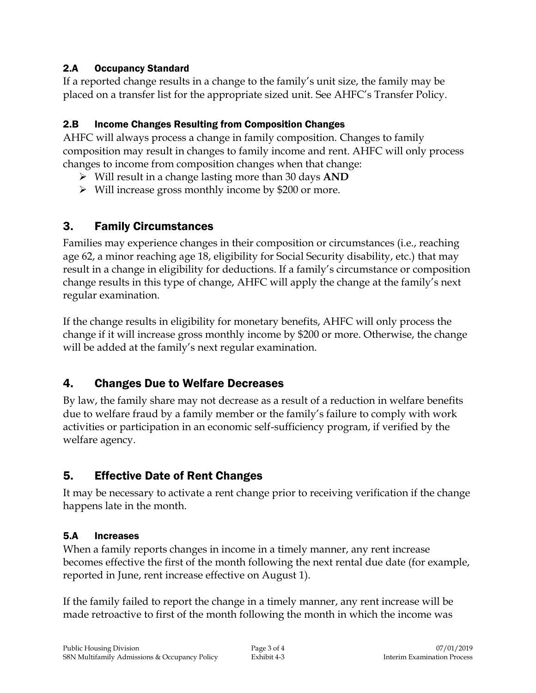### 2.A Occupancy Standard

If a reported change results in a change to the family's unit size, the family may be placed on a transfer list for the appropriate sized unit. See AHFC's Transfer Policy.

### 2.B Income Changes Resulting from Composition Changes

AHFC will always process a change in family composition. Changes to family composition may result in changes to family income and rent. AHFC will only process changes to income from composition changes when that change:

- Will result in a change lasting more than 30 days **AND**
- Will increase gross monthly income by \$200 or more.

### 3. Family Circumstances

Families may experience changes in their composition or circumstances (i.e., reaching age 62, a minor reaching age 18, eligibility for Social Security disability, etc.) that may result in a change in eligibility for deductions. If a family's circumstance or composition change results in this type of change, AHFC will apply the change at the family's next regular examination.

If the change results in eligibility for monetary benefits, AHFC will only process the change if it will increase gross monthly income by \$200 or more. Otherwise, the change will be added at the family's next regular examination.

## 4. Changes Due to Welfare Decreases

By law, the family share may not decrease as a result of a reduction in welfare benefits due to welfare fraud by a family member or the family's failure to comply with work activities or participation in an economic self-sufficiency program, if verified by the welfare agency.

## 5. Effective Date of Rent Changes

It may be necessary to activate a rent change prior to receiving verification if the change happens late in the month.

#### 5.A Increases

When a family reports changes in income in a timely manner, any rent increase becomes effective the first of the month following the next rental due date (for example, reported in June, rent increase effective on August 1).

If the family failed to report the change in a timely manner, any rent increase will be made retroactive to first of the month following the month in which the income was